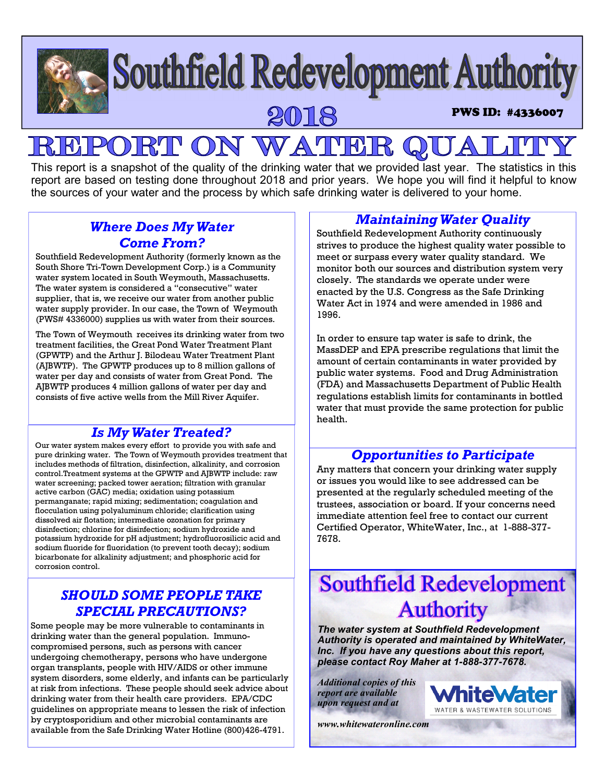# **Southfield Redevelopment Authority** PWS ID: #4336007

# PORT ON WATER  $R$

This report is a snapshot of the quality of the drinking water that we provided last year. The statistics in this report are based on testing done throughout 2018 and prior years. We hope you will find it helpful to know the sources of your water and the process by which safe drinking water is delivered to your home.

# *Where Does My Water Come From?*

Southfield Redevelopment Authority (formerly known as the South Shore Tri-Town Development Corp.) is a Community water system located in South Weymouth, Massachusetts. The water system is considered a "consecutive" water supplier, that is, we receive our water from another public water supply provider. In our case, the Town of Weymouth (PWS# 4336000) supplies us with water from their sources.

The Town of Weymouth receives its drinking water from two treatment facilities, the Great Pond Water Treatment Plant (GPWTP) and the Arthur J. Bilodeau Water Treatment Plant (AJBWTP). The GPWTP produces up to 8 million gallons of water per day and consists of water from Great Pond. The AJBWTP produces 4 million gallons of water per day and consists of five active wells from the Mill River Aquifer.

# *Is My Water Treated?*

Our water system makes every effort to provide you with safe and pure drinking water. The Town of Weymouth provides treatment that includes methods of filtration, disinfection, alkalinity, and corrosion control.Treatment systems at the GPWTP and AJBWTP include: raw water screening; packed tower aeration; filtration with granular active carbon (GAC) media; oxidation using potassium permanganate; rapid mixing; sedimentation; coagulation and flocculation using polyaluminum chloride; clarification using dissolved air flotation; intermediate ozonation for primary disinfection; chlorine for disinfection; sodium hydroxide and potassium hydroxide for pH adjustment; hydrofluorosilicic acid and sodium fluoride for fluoridation (to prevent tooth decay); sodium bicarbonate for alkalinity adjustment; and phosphoric acid for corrosion control.

# *SHOULD SOME PEOPLE TAKE SPECIAL PRECAUTIONS?*

Some people may be more vulnerable to contaminants in drinking water than the general population. Immunocompromised persons, such as persons with cancer undergoing chemotherapy, persons who have undergone organ transplants, people with HIV/AIDS or other immune system disorders, some elderly, and infants can be particularly at risk from infections. These people should seek advice about drinking water from their health care providers. EPA/CDC guidelines on appropriate means to lessen the risk of infection by cryptosporidium and other microbial contaminants are available from the Safe Drinking Water Hotline (800)426-4791.

# *Maintaining Water Quality*

Southfield Redevelopment Authority continuously strives to produce the highest quality water possible to meet or surpass every water quality standard. We monitor both our sources and distribution system very closely. The standards we operate under were enacted by the U.S. Congress as the Safe Drinking Water Act in 1974 and were amended in 1986 and 1996.

In order to ensure tap water is safe to drink, the MassDEP and EPA prescribe regulations that limit the amount of certain contaminants in water provided by public water systems. Food and Drug Administration (FDA) and Massachusetts Department of Public Health regulations establish limits for contaminants in bottled water that must provide the same protection for public health.

# *Opportunities to Participate*

Any matters that concern your drinking water supply or issues you would like to see addressed can be presented at the regularly scheduled meeting of the trustees, association or board. If your concerns need immediate attention feel free to contact our current Certified Operator, WhiteWater, Inc., at 1-888-377- 7678.

# **Southfield Redevelopment Authority**

*The water system at Southfield Redevelopment Authority is operated and maintained by WhiteWater, Inc. If you have any questions about this report, please contact Roy Maher at 1-888-377-7678.*

*Additional copies of this report are available upon request and at* 

*www.whitewateronline.com* 

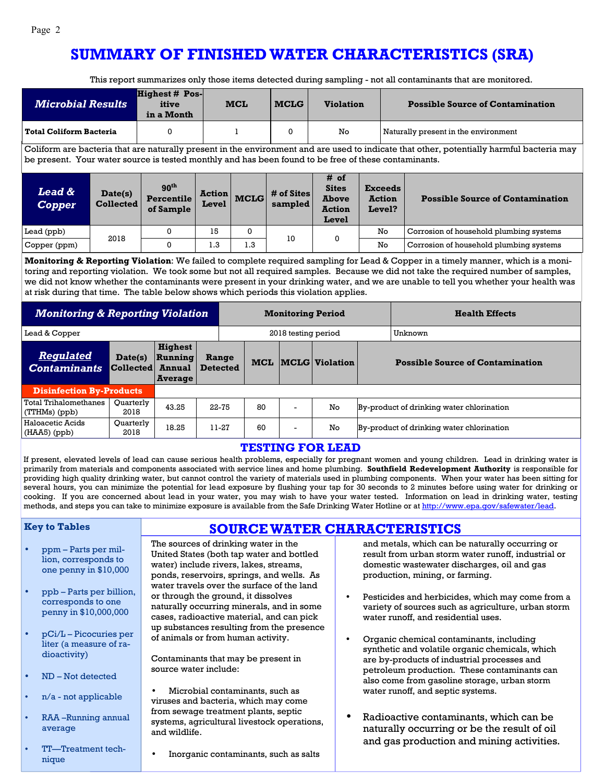# **SUMMARY OF FINISHED WATER CHARACTERISTICS (SRA)**

This report summarizes only those items detected during sampling - not all contaminants that are monitored.

| <b>Microbial Results</b>                                                                                                                                                                                                                                                                                                                                                                                                                                                                                                                                                                                                                                                                                                                                                                                                                                                                                                                                                                                                                                   |                             | <b>Highest # Pos-</b><br>itive<br>in a Month                 |                          | MCL         | <b>MCLG</b>               | <b>Violation</b>                                               |                                           |                                         | <b>Possible Source of Contamination</b>         |  |  |
|------------------------------------------------------------------------------------------------------------------------------------------------------------------------------------------------------------------------------------------------------------------------------------------------------------------------------------------------------------------------------------------------------------------------------------------------------------------------------------------------------------------------------------------------------------------------------------------------------------------------------------------------------------------------------------------------------------------------------------------------------------------------------------------------------------------------------------------------------------------------------------------------------------------------------------------------------------------------------------------------------------------------------------------------------------|-----------------------------|--------------------------------------------------------------|--------------------------|-------------|---------------------------|----------------------------------------------------------------|-------------------------------------------|-----------------------------------------|-------------------------------------------------|--|--|
| <b>Total Coliform Bacteria</b>                                                                                                                                                                                                                                                                                                                                                                                                                                                                                                                                                                                                                                                                                                                                                                                                                                                                                                                                                                                                                             |                             | $\mathbf 0$                                                  |                          | 1           | 0                         | No                                                             |                                           |                                         | Naturally present in the environment            |  |  |
| Coliform are bacteria that are naturally present in the environment and are used to indicate that other, potentially harmful bacteria may<br>be present. Your water source is tested monthly and has been found to be free of these contaminants.                                                                                                                                                                                                                                                                                                                                                                                                                                                                                                                                                                                                                                                                                                                                                                                                          |                             |                                                              |                          |             |                           |                                                                |                                           |                                         |                                                 |  |  |
| Lead &<br><b>Copper</b>                                                                                                                                                                                                                                                                                                                                                                                                                                                                                                                                                                                                                                                                                                                                                                                                                                                                                                                                                                                                                                    | Date(s)<br><b>Collected</b> | 90 <sup>th</sup><br><b>Percentile</b><br>of Sample           | Action<br>Level          | <b>MCLG</b> | # of Sites<br>sampled     | # of<br><b>Sites</b><br><b>Above</b><br><b>Action</b><br>Level | <b>Exceeds</b><br><b>Action</b><br>Level? |                                         | <b>Possible Source of Contamination</b>         |  |  |
| Lead (ppb)                                                                                                                                                                                                                                                                                                                                                                                                                                                                                                                                                                                                                                                                                                                                                                                                                                                                                                                                                                                                                                                 | 2018                        | 0                                                            | 15                       | 0           | 10                        | 0                                                              | No                                        |                                         | Corrosion of household plumbing systems         |  |  |
| Copper (ppm)                                                                                                                                                                                                                                                                                                                                                                                                                                                                                                                                                                                                                                                                                                                                                                                                                                                                                                                                                                                                                                               |                             | $\Omega$                                                     | 1.3                      | 1.3         |                           |                                                                | No                                        |                                         | Corrosion of household plumbing systems         |  |  |
| Monitoring & Reporting Violation: We failed to complete required sampling for Lead & Copper in a timely manner, which is a moni-<br>toring and reporting violation. We took some but not all required samples. Because we did not take the required number of samples,<br>we did not know whether the contaminants were present in your drinking water, and we are unable to tell you whether your health was<br>at risk during that time. The table below shows which periods this violation applies.                                                                                                                                                                                                                                                                                                                                                                                                                                                                                                                                                     |                             |                                                              |                          |             |                           |                                                                |                                           |                                         |                                                 |  |  |
| <b>Monitoring &amp; Reporting Violation</b><br><b>Monitoring Period</b><br><b>Health Effects</b>                                                                                                                                                                                                                                                                                                                                                                                                                                                                                                                                                                                                                                                                                                                                                                                                                                                                                                                                                           |                             |                                                              |                          |             |                           |                                                                |                                           |                                         |                                                 |  |  |
| Lead & Copper                                                                                                                                                                                                                                                                                                                                                                                                                                                                                                                                                                                                                                                                                                                                                                                                                                                                                                                                                                                                                                              |                             |                                                              |                          |             | 2018 testing period       | Unknown                                                        |                                           |                                         |                                                 |  |  |
| <b>Regulated</b><br>Date(s)<br>${\tt Collected} \vert$<br><b>Contaminants</b>                                                                                                                                                                                                                                                                                                                                                                                                                                                                                                                                                                                                                                                                                                                                                                                                                                                                                                                                                                              |                             | <b>Highest</b><br>Running<br><b>Annual</b><br><b>Average</b> | Range<br><b>Detected</b> |             | <b>MCL MCLG Violation</b> |                                                                |                                           | <b>Possible Source of Contamination</b> |                                                 |  |  |
| <b>Disinfection By-Products</b>                                                                                                                                                                                                                                                                                                                                                                                                                                                                                                                                                                                                                                                                                                                                                                                                                                                                                                                                                                                                                            |                             |                                                              |                          |             |                           |                                                                |                                           |                                         |                                                 |  |  |
| Total Trihalomethanes<br>(TTHMs) (ppb)                                                                                                                                                                                                                                                                                                                                                                                                                                                                                                                                                                                                                                                                                                                                                                                                                                                                                                                                                                                                                     | Quarterly<br>2018           | 43.25                                                        | 22-75                    | 80          | $\overline{a}$            | No                                                             | By-product of drinking water chlorination |                                         |                                                 |  |  |
| <b>Haloacetic Acids</b><br>(HAA5) (ppb)                                                                                                                                                                                                                                                                                                                                                                                                                                                                                                                                                                                                                                                                                                                                                                                                                                                                                                                                                                                                                    | Quarterly<br>2018           | 18.25                                                        | 11-27                    | 60          |                           | No                                                             | By-product of drinking water chlorination |                                         |                                                 |  |  |
| <b>TESTING FOR LEAD</b><br>If present, elevated levels of lead can cause serious health problems, especially for pregnant women and young children. Lead in drinking water is<br>primarily from materials and components associated with service lines and home plumbing. Southfield Redevelopment Authority is responsible for<br>providing high quality drinking water, but cannot control the variety of materials used in plumbing components. When your water has been sitting for<br>several hours, you can minimize the potential for lead exposure by flushing your tap for 30 seconds to 2 minutes before using water for drinking or<br>cooking. If you are concerned about lead in your water, you may wish to have your water tested. Information on lead in drinking water, testing<br>methods, and steps you can take to minimize exposure is available from the Safe Drinking Water Hotline or at http://www.epa.gov/safewater/lead.<br><b>Key to Tables</b><br><b>SOURCE WATER CHARACTERISTICS</b><br>The sources of drinking water in the |                             |                                                              |                          |             |                           |                                                                |                                           |                                         |                                                 |  |  |
| ppm – Parts per mil-                                                                                                                                                                                                                                                                                                                                                                                                                                                                                                                                                                                                                                                                                                                                                                                                                                                                                                                                                                                                                                       |                             |                                                              |                          |             |                           |                                                                |                                           |                                         | and metals, which can be naturally occurring or |  |  |

- one penny in \$10,000 • ppb – Parts per billion, corresponds to one penny in \$10,000,000
- pCi/L Picocuries per liter (a measure of radioactivity)
- ND Not detected
- n/a not applicable
- RAA –Running annual average
- TT—Treatment technique

water) include rivers, lakes, streams, ponds, reservoirs, springs, and wells. As water travels over the surface of the land or through the ground, it dissolves naturally occurring minerals, and in some cases, radioactive material, and can pick up substances resulting from the presence of animals or from human activity.

Contaminants that may be present in source water include:

- Microbial contaminants, such as viruses and bacteria, which may come from sewage treatment plants, septic systems, agricultural livestock operations, and wildlife.
	- Inorganic contaminants, such as salts

domestic wastewater discharges, oil and gas production, mining, or farming.

- Pesticides and herbicides, which may come from a variety of sources such as agriculture, urban storm water runoff, and residential uses.
- Organic chemical contaminants, including synthetic and volatile organic chemicals, which are by-products of industrial processes and petroleum production. These contaminants can also come from gasoline storage, urban storm water runoff, and septic systems.
- Radioactive contaminants, which can be naturally occurring or be the result of oil and gas production and mining activities.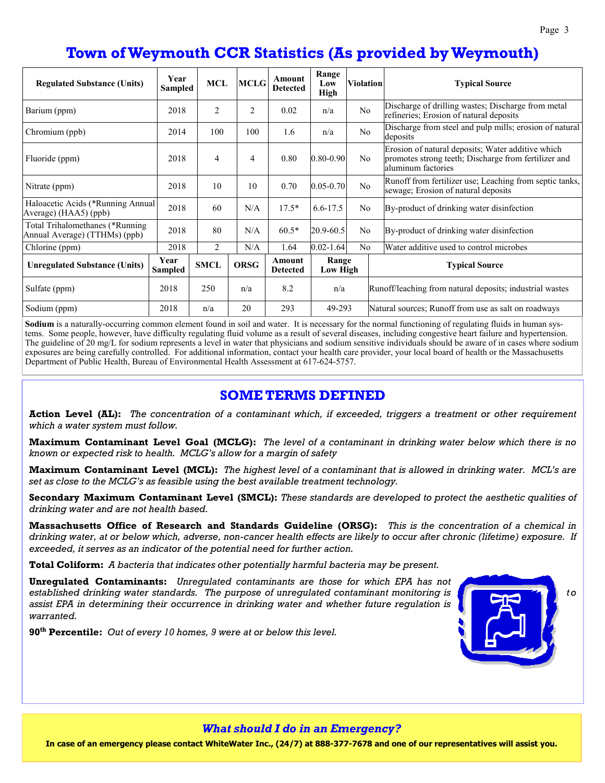# **Town of Weymouth CCR Statistics (As provided by Weymouth)**

| <b>Regulated Substance (Units)</b>                               | Year<br><b>Sampled</b> | <b>MCL</b>     | <b>MCLG</b>    | Amount<br><b>Detected</b> | Range<br>Low<br>High | <b>Violation</b> | <b>Typical Source</b>                                                                                                           |  |
|------------------------------------------------------------------|------------------------|----------------|----------------|---------------------------|----------------------|------------------|---------------------------------------------------------------------------------------------------------------------------------|--|
| Barium (ppm)                                                     | 2018                   | $\overline{2}$ | $\overline{c}$ | 0.02                      | n/a                  | N <sub>o</sub>   | Discharge of drilling wastes; Discharge from metal<br>refineries; Erosion of natural deposits                                   |  |
| Chromium (ppb)                                                   | 2014                   | 100            | 100            | 1.6                       | n/a                  | No               | Discharge from steel and pulp mills; erosion of natural<br>deposits                                                             |  |
| Fluoride (ppm)                                                   | 2018                   | 4              | $\overline{4}$ | 0.80                      | $0.80 - 0.90$        | N <sub>o</sub>   | Erosion of natural deposits; Water additive which<br>promotes strong teeth; Discharge from fertilizer and<br>aluminum factories |  |
| Nitrate (ppm)                                                    | 2018                   | 10             | 10             | 0.70                      | $0.05 - 0.70$        | N <sub>o</sub>   | Runoff from fertilizer use; Leaching from septic tanks,<br>sewage; Erosion of natural deposits                                  |  |
| Haloacetic Acids (*Running Annual<br>Average) (HAA5) (ppb)       | 2018                   | 60             | N/A            | $17.5*$                   | $6.6 - 17.5$         | N <sub>o</sub>   | By-product of drinking water disinfection                                                                                       |  |
| Total Trihalomethanes (*Running<br>Annual Average) (TTHMs) (ppb) | 2018                   | 80             | N/A            | $60.5*$                   | 20.9-60.5            | N <sub>o</sub>   | By-product of drinking water disinfection                                                                                       |  |
| Chlorine (ppm)                                                   | 2018                   | $\overline{c}$ |                | 1.64                      | $0.02 - 1.64$        | N <sub>o</sub>   | Water additive used to control microbes                                                                                         |  |
| <b>Unregulated Substance (Units)</b>                             | Year<br>Sampled        | <b>SMCL</b>    | <b>ORSG</b>    | Amount<br><b>Detected</b> | Range<br>Low High    |                  | <b>Typical Source</b>                                                                                                           |  |
| Sulfate (ppm)                                                    | 2018                   | 250            | n/a            | 8.2                       | n/a                  |                  | Runoff/leaching from natural deposits; industrial wastes                                                                        |  |
| Sodium (ppm)                                                     | 2018                   | n/a            | 20             | 293                       | 49-293               |                  | Natural sources; Runoff from use as salt on roadways                                                                            |  |

**Sodium** is a naturally-occurring common element found in soil and water. It is necessary for the normal functioning of regulating fluids in human systems. Some people, however, have difficulty regulating fluid volume as a result of several diseases, including congestive heart failure and hypertension. The guideline of 20 mg/L for sodium represents a level in water that physicians and sodium sensitive individuals should be aware of in cases where sodium exposures are being carefully controlled. For additional information, contact your health care provider, your local board of health or the Massachusetts Department of Public Health, Bureau of Environmental Health Assessment at 617-624-5757.

#### **SOME TERMS DEFINED**

**Action Level (AL):** *The concentration of a contaminant which, if exceeded, triggers a treatment or other requirement which a water system must follow.* 

**Maximum Contaminant Level Goal (MCLG):** *The level of a contaminant in drinking water below which there is no known or expected risk to health. MCLG's allow for a margin of safety* 

**Maximum Contaminant Level (MCL):** *The highest level of a contaminant that is allowed in drinking water. MCL's are set as close to the MCLG's as feasible using the best available treatment technology.* 

**Secondary Maximum Contaminant Level (SMCL):** *These standards are developed to protect the aesthetic qualities of drinking water and are not health based.* 

**Massachusetts Office of Research and Standards Guideline (ORSG):** *This is the concentration of a chemical in drinking water, at or below which, adverse, non-cancer health effects are likely to occur after chronic (lifetime) exposure. If exceeded, it serves as an indicator of the potential need for further action.* 

**Total Coliform:** *A bacteria that indicates other potentially harmful bacteria may be present.* 

**Unregulated Contaminants:** *Unregulated contaminants are those for which EPA has not*  established drinking water standards. The purpose of unregulated contaminant monitoring is **the standard of the oriental** to *assist EPA in determining their occurrence in drinking water and whether future regulation is warranted.* 

**90th Percentile:** *Out of every 10 homes, 9 were at or below this level.*

#### *What should I do in an Emergency?*

**In case of an emergency please contact WhiteWater Inc., (24/7) at 888-377-7678 and one of our representatives will assist you.**